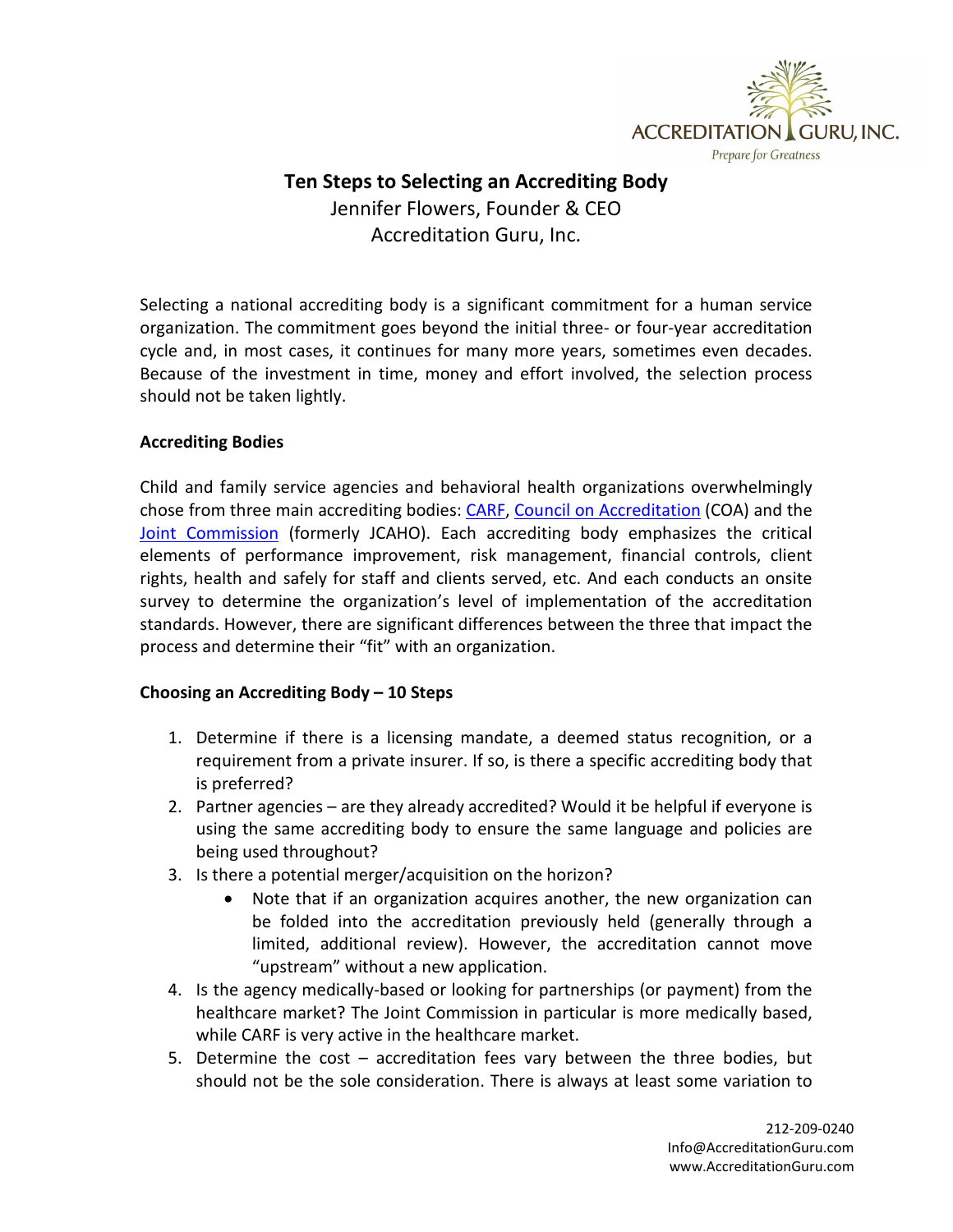

## **Ten Steps to Selecting an Accrediting Body** Jennifer Flowers, Founder & CEO Accreditation Guru, Inc.

Selecting a national accrediting body is a significant commitment for a human service organization. The commitment goes beyond the initial three- or four-year accreditation cycle and, in most cases, it continues for many more years, sometimes even decades. Because of the investment in time, money and effort involved, the selection process should not be taken lightly.

## **Accrediting Bodies**

Child and family service agencies and behavioral health organizations overwhelmingly chose from three main accrediting bodies: [CARF,](http://www.carf.org/) [Council on Accreditation](http://coanet.org/home/) (COA) and the [Joint Commission](http://www.jointcommission.org/) (formerly JCAHO). Each accrediting body emphasizes the critical elements of performance improvement, risk management, financial controls, client rights, health and safely for staff and clients served, etc. And each conducts an onsite survey to determine the organization's level of implementation of the accreditation standards. However, there are significant differences between the three that impact the process and determine their "fit" with an organization.

## **Choosing an Accrediting Body – 10 Steps**

- 1. Determine if there is a licensing mandate, a deemed status recognition, or a requirement from a private insurer. If so, is there a specific accrediting body that is preferred?
- 2. Partner agencies are they already accredited? Would it be helpful if everyone is using the same accrediting body to ensure the same language and policies are being used throughout?
- 3. Is there a potential merger/acquisition on the horizon?
	- Note that if an organization acquires another, the new organization can be folded into the accreditation previously held (generally through a limited, additional review). However, the accreditation cannot move "upstream" without a new application.
- 4. Is the agency medically-based or looking for partnerships (or payment) from the healthcare market? The Joint Commission in particular is more medically based, while CARF is very active in the healthcare market.
- 5. Determine the cost accreditation fees vary between the three bodies, but should not be the sole consideration. There is always at least some variation to